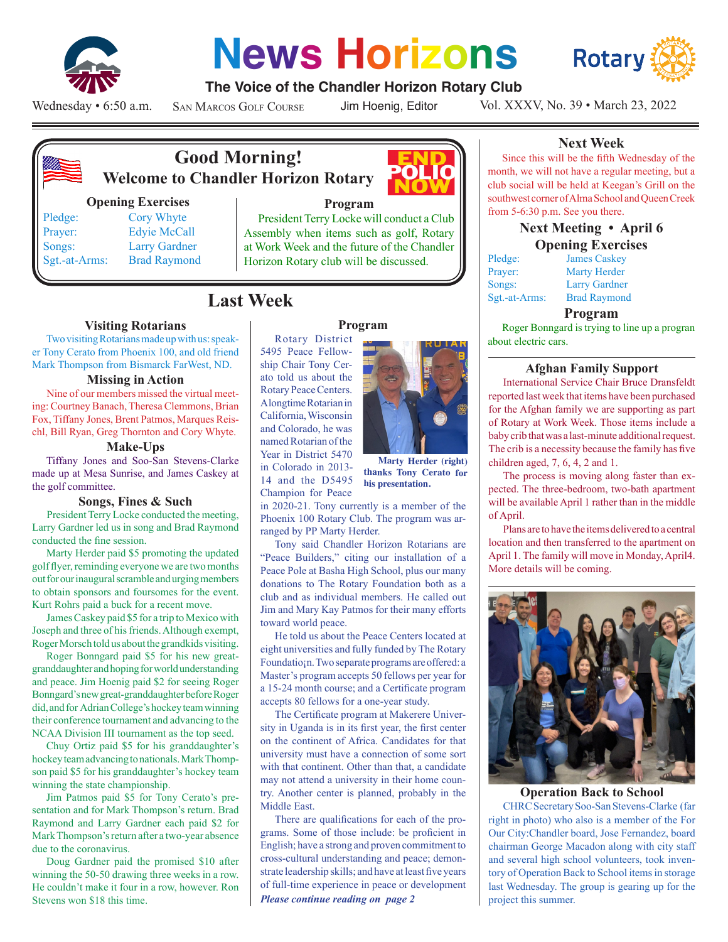

# **News Horizons**



# **The Voice of the Chandler Horizon Rotary Club**

Wednesday • 6:50 a.m.

San Marcos Golf Course

Jim Hoenig, Editor

Vol. XXXV, No. 39 • March 23, 2022



# **Good Morning! Welcome to Chandler Horizon Rotary**

#### **Opening Exercises**

Pledge: Cory Whyte Prayer: Edyie McCall Songs: Larry Gardner Sgt.-at-Arms: Brad Raymond



# **Program**

President Terry Locke will conduct a Club Assembly when items such as golf, Rotary at Work Week and the future of the Chandler Horizon Rotary club will be discussed.

# **Last Week**

# **Visiting Rotarians**

Two visiting Rotarians made up with us: speaker Tony Cerato from Phoenix 100, and old friend Mark Thompson from Bismarck FarWest, ND.

#### **Missing in Action**

Nine of our members missed the virtual meeting: Courtney Banach, Theresa Clemmons, Brian Fox, Tiffany Jones, Brent Patmos, Marques Reischl, Bill Ryan, Greg Thornton and Cory Whyte.

#### **Make-Ups**

Tiffany Jones and Soo-San Stevens-Clarke made up at Mesa Sunrise, and James Caskey at the golf committee.

#### **Songs, Fines & Such**

President Terry Locke conducted the meeting, Larry Gardner led us in song and Brad Raymond conducted the fine session.

Marty Herder paid \$5 promoting the updated golf flyer, reminding everyone we are two months out for our inaugural scramble and urging members to obtain sponsors and foursomes for the event. Kurt Rohrs paid a buck for a recent move.

James Caskey paid \$5 for a trip to Mexico with Joseph and three of his friends. Although exempt, Roger Morsch told us about the grandkids visiting.

Roger Bonngard paid \$5 for his new greatgranddaughter and hoping for world understanding and peace. Jim Hoenig paid \$2 for seeing Roger Bonngard's new great-granddaughter before Roger did, and for Adrian College's hockey team winning their conference tournament and advancing to the NCAA Division III tournament as the top seed.

Chuy Ortiz paid \$5 for his granddaughter's hockey team advancing to nationals. Mark Thompson paid \$5 for his granddaughter's hockey team winning the state championship.

Jim Patmos paid \$5 for Tony Cerato's presentation and for Mark Thompson's return. Brad Raymond and Larry Gardner each paid \$2 for Mark Thompson's return after a two-year absence due to the coronavirus.

Doug Gardner paid the promised \$10 after winning the 50-50 drawing three weeks in a row. He couldn't make it four in a row, however. Ron Stevens won \$18 this time.

# **Program**

Rotary District 5495 Peace Fellowship Chair Tony Cerato told us about the Rotary Peace Centers. A longtime Rotarian in California, Wisconsin and Colorado, he was named Rotarian of the Year in District 5470 in Colorado in 2013- 14 and the D5495 Champion for Peace



**Marty Herder (right) thanks Tony Cerato for his presentation.**

in 2020-21. Tony currently is a member of the Phoenix 100 Rotary Club. The program was arranged by PP Marty Herder.

Tony said Chandler Horizon Rotarians are "Peace Builders," citing our installation of a Peace Pole at Basha High School, plus our many donations to The Rotary Foundation both as a club and as individual members. He called out Jim and Mary Kay Patmos for their many efforts toward world peace.

He told us about the Peace Centers located at eight universities and fully funded by The Rotary Foundatio¡n. Two separate programs are offered: a Master's program accepts 50 fellows per year for a 15-24 month course; and a Certificate program accepts 80 fellows for a one-year study.

The Certificate program at Makerere University in Uganda is in its first year, the first center on the continent of Africa. Candidates for that university must have a connection of some sort with that continent. Other than that, a candidate may not attend a university in their home country. Another center is planned, probably in the Middle East.

*Please continue reading on page 2* There are qualifications for each of the programs. Some of those include: be proficient in English; have a strong and proven commitment to cross-cultural understanding and peace; demonstrate leadership skills; and have at least five years of full-time experience in peace or development

# **Next Week**

Since this will be the fifth Wednesday of the month, we will not have a regular meeting, but a club social will be held at Keegan's Grill on the southwest corner of Alma School and Queen Creek from 5-6:30 p.m. See you there.

# **Next Meeting • April 6 Opening Exercises**

| <b>James Caskey</b>  |
|----------------------|
| <b>Marty Herder</b>  |
| <b>Larry Gardner</b> |
| <b>Brad Raymond</b>  |
|                      |

#### **Program**

Roger Bonngard is trying to line up a progran about electric cars.

#### **Afghan Family Support**

International Service Chair Bruce Dransfeldt reported last week that items have been purchased for the Afghan family we are supporting as part of Rotary at Work Week. Those items include a baby crib that was a last-minute additional request. The crib is a necessity because the family has five children aged, 7, 6, 4, 2 and 1.

The process is moving along faster than expected. The three-bedroom, two-bath apartment will be available April 1 rather than in the middle of April.

Plans are to have the items delivered to a central location and then transferred to the apartment on April 1. The family will move in Monday, April4. More details will be coming.



#### **Operation Back to School**

CHRC Secretary Soo-San Stevens-Clarke (far right in photo) who also is a member of the For Our City:Chandler board, Jose Fernandez, board chairman George Macadon along with city staff and several high school volunteers, took inventory of Operation Back to School items in storage last Wednesday. The group is gearing up for the project this summer.